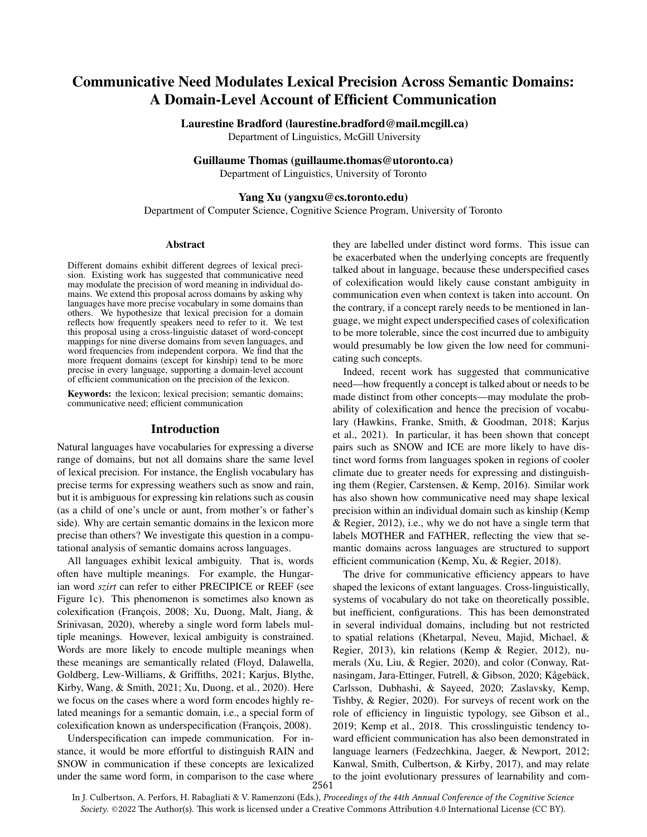# Communicative Need Modulates Lexical Precision Across Semantic Domains: A Domain-Level Account of Efficient Communication

## Laurestine Bradford (laurestine.bradford@mail.mcgill.ca)

Department of Linguistics, McGill University

#### Guillaume Thomas (guillaume.thomas@utoronto.ca)

Department of Linguistics, University of Toronto

## Yang Xu (yangxu@cs.toronto.edu)

Department of Computer Science, Cognitive Science Program, University of Toronto

#### Abstract

Different domains exhibit different degrees of lexical precision. Existing work has suggested that communicative need may modulate the precision of word meaning in individual domains. We extend this proposal across domains by asking why languages have more precise vocabulary in some domains than others. We hypothesize that lexical precision for a domain reflects how frequently speakers need to refer to it. We test this proposal using a cross-linguistic dataset of word-concept mappings for nine diverse domains from seven languages, and word frequencies from independent corpora. We find that the more frequent domains (except for kinship) tend to be more precise in every language, supporting a domain-level account of efficient communication on the precision of the lexicon.

Keywords: the lexicon; lexical precision; semantic domains; communicative need; efficient communication

#### Introduction

Natural languages have vocabularies for expressing a diverse range of domains, but not all domains share the same level of lexical precision. For instance, the English vocabulary has precise terms for expressing weathers such as snow and rain, but it is ambiguous for expressing kin relations such as cousin (as a child of one's uncle or aunt, from mother's or father's side). Why are certain semantic domains in the lexicon more precise than others? We investigate this question in a computational analysis of semantic domains across languages.

All languages exhibit lexical ambiguity. That is, words often have multiple meanings. For example, the Hungarian word *szirt* can refer to either PRECIPICE or REEF (see Figure [1c\)](#page-1-0). This phenomenon is sometimes also known as colexification (François, 2008; [Xu, Duong, Malt, Jiang, &](#page-7-0) [Srinivasan, 2020\)](#page-7-0), whereby a single word form labels multiple meanings. However, lexical ambiguity is constrained. Words are more likely to encode multiple meanings when these meanings are semantically related [\(Floyd, Dalawella,](#page-6-1) [Goldberg, Lew-Williams, & Griffiths, 2021;](#page-6-1) [Karjus, Blythe,](#page-6-2) [Kirby, Wang, & Smith, 2021;](#page-6-2) [Xu, Duong, et al., 2020\)](#page-7-0). Here we focus on the cases where a word form encodes highly related meanings for a semantic domain, i.e., a special form of colexification known as underspecification (François, 2008).

Underspecification can impede communication. For instance, it would be more effortful to distinguish RAIN and SNOW in communication if these concepts are lexicalized SINOW III communication is seen to the case where<br>under the same word form, in comparison to the case where<br>2561

they are labelled under distinct word forms. This issue can be exacerbated when the underlying concepts are frequently talked about in language, because these underspecified cases of colexification would likely cause constant ambiguity in communication even when context is taken into account. On the contrary, if a concept rarely needs to be mentioned in language, we might expect underspecified cases of colexification to be more tolerable, since the cost incurred due to ambiguity would presumably be low given the low need for communicating such concepts.

Indeed, recent work has suggested that communicative need—how frequently a concept is talked about or needs to be made distinct from other concepts—may modulate the probability of colexification and hence the precision of vocabulary [\(Hawkins, Franke, Smith, & Goodman, 2018;](#page-6-3) [Karjus](#page-6-2) [et al., 2021\)](#page-6-2). In particular, it has been shown that concept pairs such as SNOW and ICE are more likely to have distinct word forms from languages spoken in regions of cooler climate due to greater needs for expressing and distinguishing them [\(Regier, Carstensen, & Kemp, 2016\)](#page-7-1). Similar work has also shown how communicative need may shape lexical precision within an individual domain such as kinship [\(Kemp](#page-6-4) [& Regier, 2012\)](#page-6-4), i.e., why we do not have a single term that labels MOTHER and FATHER, reflecting the view that semantic domains across languages are structured to support efficient communication [\(Kemp, Xu, & Regier, 2018\)](#page-6-5).

The drive for communicative efficiency appears to have shaped the lexicons of extant languages. Cross-linguistically, systems of vocabulary do not take on theoretically possible, but inefficient, configurations. This has been demonstrated in several individual domains, including but not restricted to spatial relations [\(Khetarpal, Neveu, Majid, Michael, &](#page-6-6) [Regier, 2013\)](#page-6-6), kin relations [\(Kemp & Regier, 2012\)](#page-6-4), numerals [\(Xu, Liu, & Regier, 2020\)](#page-7-2), and color [\(Conway, Rat](#page-6-7)[nasingam, Jara-Ettinger, Futrell, & Gibson, 2020;](#page-6-7) Kågebäck, [Carlsson, Dubhashi, & Sayeed, 2020;](#page-6-8) [Zaslavsky, Kemp,](#page-7-3) [Tishby, & Regier, 2020\)](#page-7-3). For surveys of recent work on the role of efficiency in linguistic typology, see [Gibson et al.,](#page-6-9) [2019;](#page-6-9) [Kemp et al., 2018.](#page-6-5) This crosslinguistic tendency toward efficient communication has also been demonstrated in language learners [\(Fedzechkina, Jaeger, & Newport, 2012;](#page-6-10) [Kanwal, Smith, Culbertson, & Kirby, 2017\)](#page-6-11), and may relate to the joint evolutionary pressures of learnability and com-

In J. Culbertson, A. Perfors, H. Rabagliati & V. Ramenzoni (Eds.), *Proceedings of the 44th Annual Conference of the Cognitive Science* Society. @2022 The Author(s). This work is licensed under a Creative Commons Attribution 4.0 International License (CC BY).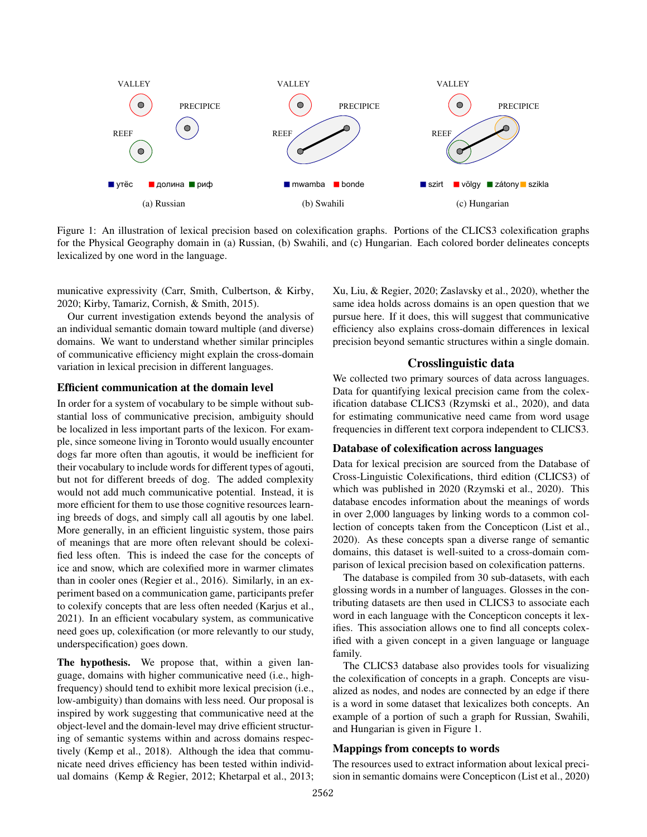<span id="page-1-0"></span>

Figure 1: An illustration of lexical precision based on colexification graphs. Portions of the CLICS3 colexification graphs for the Physical Geography domain in (a) Russian, (b) Swahili, and (c) Hungarian. Each colored border delineates concepts lexicalized by one word in the language.

municative expressivity [\(Carr, Smith, Culbertson, & Kirby,](#page-6-12) [2020;](#page-6-12) [Kirby, Tamariz, Cornish, & Smith, 2015\)](#page-6-13).

Our current investigation extends beyond the analysis of an individual semantic domain toward multiple (and diverse) domains. We want to understand whether similar principles of communicative efficiency might explain the cross-domain variation in lexical precision in different languages.

# Efficient communication at the domain level

In order for a system of vocabulary to be simple without substantial loss of communicative precision, ambiguity should be localized in less important parts of the lexicon. For example, since someone living in Toronto would usually encounter dogs far more often than agoutis, it would be inefficient for their vocabulary to include words for different types of agouti, but not for different breeds of dog. The added complexity would not add much communicative potential. Instead, it is more efficient for them to use those cognitive resources learning breeds of dogs, and simply call all agoutis by one label. More generally, in an efficient linguistic system, those pairs of meanings that are more often relevant should be colexified less often. This is indeed the case for the concepts of ice and snow, which are colexified more in warmer climates than in cooler ones [\(Regier et al., 2016\)](#page-7-1). Similarly, in an experiment based on a communication game, participants prefer to colexify concepts that are less often needed [\(Karjus et al.,](#page-6-2) [2021\)](#page-6-2). In an efficient vocabulary system, as communicative need goes up, colexification (or more relevantly to our study, underspecification) goes down.

The hypothesis. We propose that, within a given language, domains with higher communicative need (i.e., highfrequency) should tend to exhibit more lexical precision (i.e., low-ambiguity) than domains with less need. Our proposal is inspired by work suggesting that communicative need at the object-level and the domain-level may drive efficient structuring of semantic systems within and across domains respectively [\(Kemp et al., 2018\)](#page-6-5). Although the idea that communicate need drives efficiency has been tested within individual domains [\(Kemp & Regier, 2012;](#page-6-4) [Khetarpal et al., 2013;](#page-6-6) [Xu, Liu, & Regier, 2020;](#page-7-2) [Zaslavsky et al., 2020\)](#page-7-3), whether the same idea holds across domains is an open question that we pursue here. If it does, this will suggest that communicative efficiency also explains cross-domain differences in lexical precision beyond semantic structures within a single domain.

# Crosslinguistic data

We collected two primary sources of data across languages. Data for quantifying lexical precision came from the colexification database CLICS3 [\(Rzymski et al., 2020\)](#page-7-4), and data for estimating communicative need came from word usage frequencies in different text corpora independent to CLICS3.

#### Database of colexification across languages

Data for lexical precision are sourced from the Database of Cross-Linguistic Colexifications, third edition (CLICS3) of which was published in 2020 [\(Rzymski et al., 2020\)](#page-7-4). This database encodes information about the meanings of words in over 2,000 languages by linking words to a common collection of concepts taken from the Concepticon [\(List et al.,](#page-6-14) [2020\)](#page-6-14). As these concepts span a diverse range of semantic domains, this dataset is well-suited to a cross-domain comparison of lexical precision based on colexification patterns.

The database is compiled from 30 sub-datasets, with each glossing words in a number of languages. Glosses in the contributing datasets are then used in CLICS3 to associate each word in each language with the Concepticon concepts it lexifies. This association allows one to find all concepts colexified with a given concept in a given language or language family.

The CLICS3 database also provides tools for visualizing the colexification of concepts in a graph. Concepts are visualized as nodes, and nodes are connected by an edge if there is a word in some dataset that lexicalizes both concepts. An example of a portion of such a graph for Russian, Swahili, and Hungarian is given in Figure [1.](#page-1-0)

## Mappings from concepts to words

The resources used to extract information about lexical precision in semantic domains were Concepticon [\(List et al., 2020\)](#page-6-14)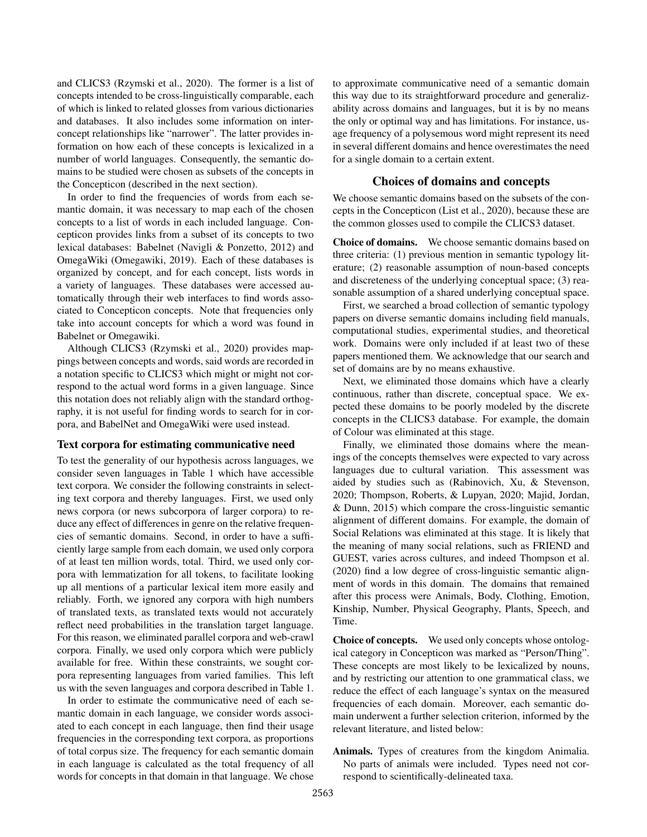and CLICS3 [\(Rzymski et al., 2020\)](#page-7-4). The former is a list of concepts intended to be cross-linguistically comparable, each of which is linked to related glosses from various dictionaries and databases. It also includes some information on interconcept relationships like "narrower". The latter provides information on how each of these concepts is lexicalized in a number of world languages. Consequently, the semantic domains to be studied were chosen as subsets of the concepts in the Concepticon (described in the next section).

In order to find the frequencies of words from each semantic domain, it was necessary to map each of the chosen concepts to a list of words in each included language. Concepticon provides links from a subset of its concepts to two lexical databases: Babelnet [\(Navigli & Ponzetto, 2012\)](#page-6-15) and OmegaWiki [\(Omegawiki, 2019\)](#page-6-16). Each of these databases is organized by concept, and for each concept, lists words in a variety of languages. These databases were accessed automatically through their web interfaces to find words associated to Concepticon concepts. Note that frequencies only take into account concepts for which a word was found in Babelnet or Omegawiki.

Although CLICS3 [\(Rzymski et al., 2020\)](#page-7-4) provides mappings between concepts and words, said words are recorded in a notation specific to CLICS3 which might or might not correspond to the actual word forms in a given language. Since this notation does not reliably align with the standard orthography, it is not useful for finding words to search for in corpora, and BabelNet and OmegaWiki were used instead.

## Text corpora for estimating communicative need

To test the generality of our hypothesis across languages, we consider seven languages in Table [1](#page-3-0) which have accessible text corpora. We consider the following constraints in selecting text corpora and thereby languages. First, we used only news corpora (or news subcorpora of larger corpora) to reduce any effect of differences in genre on the relative frequencies of semantic domains. Second, in order to have a sufficiently large sample from each domain, we used only corpora of at least ten million words, total. Third, we used only corpora with lemmatization for all tokens, to facilitate looking up all mentions of a particular lexical item more easily and reliably. Forth, we ignored any corpora with high numbers of translated texts, as translated texts would not accurately reflect need probabilities in the translation target language. For this reason, we eliminated parallel corpora and web-crawl corpora. Finally, we used only corpora which were publicly available for free. Within these constraints, we sought corpora representing languages from varied families. This left us with the seven languages and corpora described in Table [1.](#page-3-0)

In order to estimate the communicative need of each semantic domain in each language, we consider words associated to each concept in each language, then find their usage frequencies in the corresponding text corpora, as proportions of total corpus size. The frequency for each semantic domain in each language is calculated as the total frequency of all words for concepts in that domain in that language. We chose to approximate communicative need of a semantic domain this way due to its straightforward procedure and generalizability across domains and languages, but it is by no means the only or optimal way and has limitations. For instance, usage frequency of a polysemous word might represent its need in several different domains and hence overestimates the need for a single domain to a certain extent.

#### Choices of domains and concepts

We choose semantic domains based on the subsets of the concepts in the Concepticon [\(List et al., 2020\)](#page-6-14), because these are the common glosses used to compile the CLICS3 dataset.

Choice of domains. We choose semantic domains based on three criteria: (1) previous mention in semantic typology literature; (2) reasonable assumption of noun-based concepts and discreteness of the underlying conceptual space; (3) reasonable assumption of a shared underlying conceptual space.

First, we searched a broad collection of semantic typology papers on diverse semantic domains including field manuals, computational studies, experimental studies, and theoretical work. Domains were only included if at least two of these papers mentioned them. We acknowledge that our search and set of domains are by no means exhaustive.

Next, we eliminated those domains which have a clearly continuous, rather than discrete, conceptual space. We expected these domains to be poorly modeled by the discrete concepts in the CLICS3 database. For example, the domain of Colour was eliminated at this stage.

Finally, we eliminated those domains where the meanings of the concepts themselves were expected to vary across languages due to cultural variation. This assessment was aided by studies such as [\(Rabinovich, Xu, & Stevenson,](#page-7-5) [2020;](#page-7-5) [Thompson, Roberts, & Lupyan, 2020;](#page-7-6) [Majid, Jordan,](#page-6-17) [& Dunn, 2015\)](#page-6-17) which compare the cross-linguistic semantic alignment of different domains. For example, the domain of Social Relations was eliminated at this stage. It is likely that the meaning of many social relations, such as FRIEND and GUEST, varies across cultures, and indeed [Thompson et al.](#page-7-6) [\(2020\)](#page-7-6) find a low degree of cross-linguistic semantic alignment of words in this domain. The domains that remained after this process were Animals, Body, Clothing, Emotion, Kinship, Number, Physical Geography, Plants, Speech, and Time.

Choice of concepts. We used only concepts whose ontological category in Concepticon was marked as "Person/Thing". These concepts are most likely to be lexicalized by nouns, and by restricting our attention to one grammatical class, we reduce the effect of each language's syntax on the measured frequencies of each domain. Moreover, each semantic domain underwent a further selection criterion, informed by the relevant literature, and listed below:

Animals. Types of creatures from the kingdom Animalia. No parts of animals were included. Types need not correspond to scientifically-delineated taxa.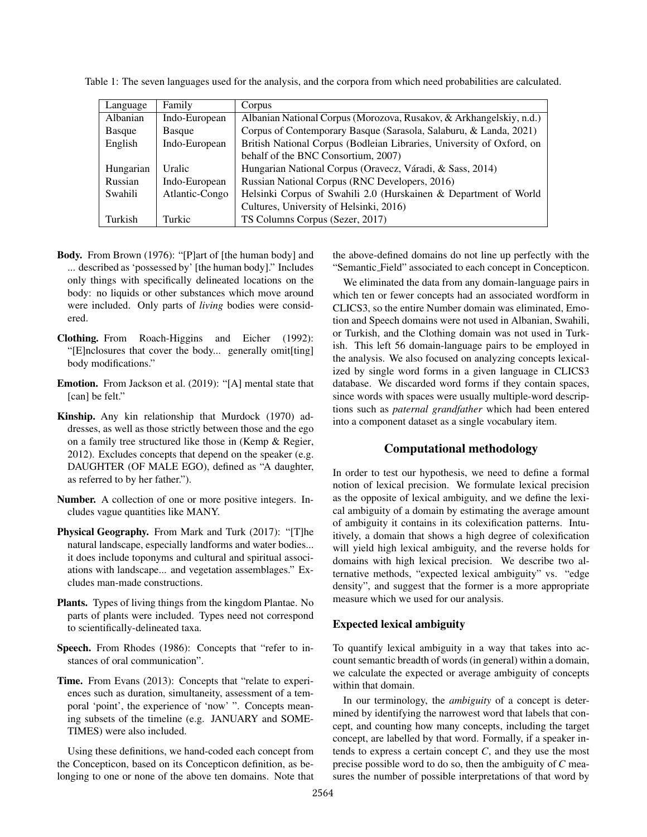| Language  | Family         | Corpus                                                                |
|-----------|----------------|-----------------------------------------------------------------------|
| Albanian  | Indo-European  | Albanian National Corpus (Morozova, Rusakov, & Arkhangelskiy, n.d.)   |
| Basque    | Basque         | Corpus of Contemporary Basque (Sarasola, Salaburu, & Landa, 2021)     |
| English   | Indo-European  | British National Corpus (Bodleian Libraries, University of Oxford, on |
|           |                | behalf of the BNC Consortium, 2007)                                   |
| Hungarian | Uralic         | Hungarian National Corpus (Oravecz, Váradi, & Sass, 2014)             |
| Russian   | Indo-European  | Russian National Corpus (RNC Developers, 2016)                        |
| Swahili   | Atlantic-Congo | Helsinki Corpus of Swahili 2.0 (Hurskainen & Department of World      |
|           |                | Cultures, University of Helsinki, 2016)                               |
| Turkish   | Turkic         | TS Columns Corpus (Sezer, 2017)                                       |

<span id="page-3-0"></span>Table 1: The seven languages used for the analysis, and the corpora from which need probabilities are calculated.

- Body. From [Brown](#page-6-21) [\(1976\)](#page-6-21): "[P]art of [the human body] and ... described as 'possessed by' [the human body]." Includes only things with specifically delineated locations on the body: no liquids or other substances which move around were included. Only parts of *living* bodies were considered.
- Clothing. From [Roach-Higgins and Eicher](#page-7-11) [\(1992\)](#page-7-11): "[E]nclosures that cover the body... generally omit[ting] body modifications."
- Emotion. From [Jackson et al.](#page-6-22) [\(2019\)](#page-6-22): "[A] mental state that [can] be felt."
- Kinship. Any kin relationship that [Murdock](#page-6-23) [\(1970\)](#page-6-23) addresses, as well as those strictly between those and the ego on a family tree structured like those in [\(Kemp & Regier,](#page-6-4) [2012\)](#page-6-4). Excludes concepts that depend on the speaker (e.g. DAUGHTER (OF MALE EGO), defined as "A daughter, as referred to by her father.").
- Number. A collection of one or more positive integers. Includes vague quantities like MANY.
- Physical Geography. From [Mark and Turk](#page-6-24) [\(2017\)](#page-6-24): "[T]he natural landscape, especially landforms and water bodies... it does include toponyms and cultural and spiritual associations with landscape... and vegetation assemblages." Excludes man-made constructions.
- Plants. Types of living things from the kingdom Plantae. No parts of plants were included. Types need not correspond to scientifically-delineated taxa.
- Speech. From [Rhodes](#page-7-12) [\(1986\)](#page-7-12): Concepts that "refer to instances of oral communication".
- Time. From [Evans](#page-6-25) [\(2013\)](#page-6-25): Concepts that "relate to experiences such as duration, simultaneity, assessment of a temporal 'point', the experience of 'now' ". Concepts meaning subsets of the timeline (e.g. JANUARY and SOME-TIMES) were also included.

Using these definitions, we hand-coded each concept from the Concepticon, based on its Concepticon definition, as belonging to one or none of the above ten domains. Note that the above-defined domains do not line up perfectly with the "Semantic Field" associated to each concept in Concepticon.

We eliminated the data from any domain-language pairs in which ten or fewer concepts had an associated wordform in CLICS3, so the entire Number domain was eliminated, Emotion and Speech domains were not used in Albanian, Swahili, or Turkish, and the Clothing domain was not used in Turkish. This left 56 domain-language pairs to be employed in the analysis. We also focused on analyzing concepts lexicalized by single word forms in a given language in CLICS3 database. We discarded word forms if they contain spaces, since words with spaces were usually multiple-word descriptions such as *paternal grandfather* which had been entered into a component dataset as a single vocabulary item.

# Computational methodology

In order to test our hypothesis, we need to define a formal notion of lexical precision. We formulate lexical precision as the opposite of lexical ambiguity, and we define the lexical ambiguity of a domain by estimating the average amount of ambiguity it contains in its colexification patterns. Intuitively, a domain that shows a high degree of colexification will yield high lexical ambiguity, and the reverse holds for domains with high lexical precision. We describe two alternative methods, "expected lexical ambiguity" vs. "edge density", and suggest that the former is a more appropriate measure which we used for our analysis.

## Expected lexical ambiguity

To quantify lexical ambiguity in a way that takes into account semantic breadth of words (in general) within a domain, we calculate the expected or average ambiguity of concepts within that domain.

In our terminology, the *ambiguity* of a concept is determined by identifying the narrowest word that labels that concept, and counting how many concepts, including the target concept, are labelled by that word. Formally, if a speaker intends to express a certain concept *C*, and they use the most precise possible word to do so, then the ambiguity of *C* measures the number of possible interpretations of that word by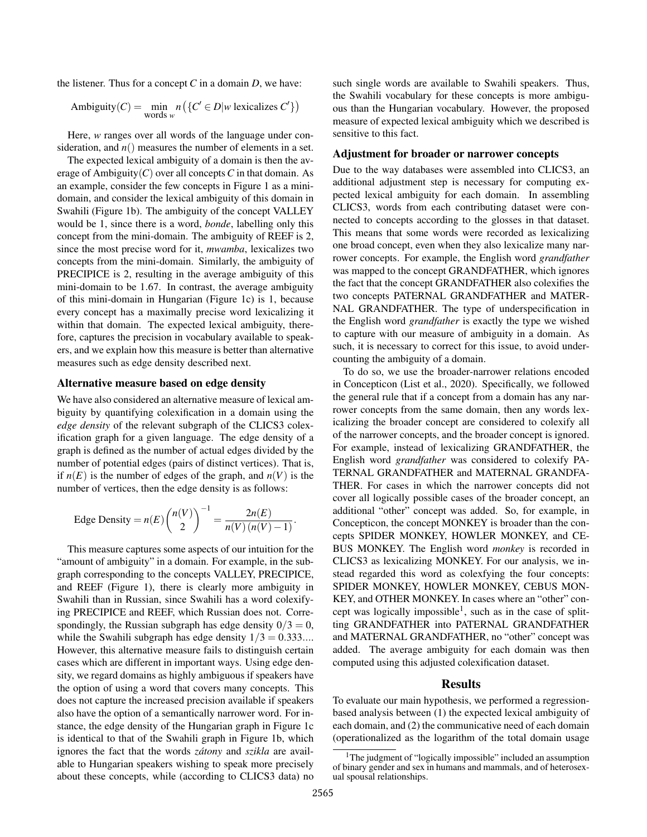the listener. Thus for a concept *C* in a domain *D*, we have:

$$
Ambiguity(C) = \min_{\text{words } w} n\left(\left\{C' \in D | w \text{ lexicalizes } C'\right\}\right)
$$

Here, *w* ranges over all words of the language under consideration, and  $n()$  measures the number of elements in a set.

The expected lexical ambiguity of a domain is then the average of Ambiguity $(C)$  over all concepts  $C$  in that domain. As an example, consider the few concepts in Figure [1](#page-1-0) as a minidomain, and consider the lexical ambiguity of this domain in Swahili (Figure [1b\)](#page-1-0). The ambiguity of the concept VALLEY would be 1, since there is a word, *bonde*, labelling only this concept from the mini-domain. The ambiguity of REEF is 2, since the most precise word for it, *mwamba*, lexicalizes two concepts from the mini-domain. Similarly, the ambiguity of PRECIPICE is 2, resulting in the average ambiguity of this mini-domain to be 1*.*67. In contrast, the average ambiguity of this mini-domain in Hungarian (Figure [1c\)](#page-1-0) is 1, because every concept has a maximally precise word lexicalizing it within that domain. The expected lexical ambiguity, therefore, captures the precision in vocabulary available to speakers, and we explain how this measure is better than alternative measures such as edge density described next.

# Alternative measure based on edge density

We have also considered an alternative measure of lexical ambiguity by quantifying colexification in a domain using the *edge density* of the relevant subgraph of the CLICS3 colexification graph for a given language. The edge density of a graph is defined as the number of actual edges divided by the number of potential edges (pairs of distinct vertices). That is, if  $n(E)$  is the number of edges of the graph, and  $n(V)$  is the number of vertices, then the edge density is as follows:

Edge Density = 
$$
n(E) {n(V) \choose 2}^{-1} = \frac{2n(E)}{n(V) (n(V) - 1)}
$$

This measure captures some aspects of our intuition for the "amount of ambiguity" in a domain. For example, in the subgraph corresponding to the concepts VALLEY, PRECIPICE, and REEF (Figure [1\)](#page-1-0), there is clearly more ambiguity in Swahili than in Russian, since Swahili has a word colexifying PRECIPICE and REEF, which Russian does not. Correspondingly, the Russian subgraph has edge density  $0/3 = 0$ , while the Swahili subgraph has edge density 1*/*3 = 0*.*333*...*. However, this alternative measure fails to distinguish certain cases which are different in important ways. Using edge density, we regard domains as highly ambiguous if speakers have the option of using a word that covers many concepts. This does not capture the increased precision available if speakers also have the option of a semantically narrower word. For instance, the edge density of the Hungarian graph in Figure [1c](#page-1-0) is identical to that of the Swahili graph in Figure [1b,](#page-1-0) which ignores the fact that the words *zátony* and *szikla* are available to Hungarian speakers wishing to speak more precisely about these concepts, while (according to CLICS3 data) no such single words are available to Swahili speakers. Thus, the Swahili vocabulary for these concepts is more ambiguous than the Hungarian vocabulary. However, the proposed measure of expected lexical ambiguity which we described is sensitive to this fact.

#### Adjustment for broader or narrower concepts

Due to the way databases were assembled into CLICS3, an additional adjustment step is necessary for computing expected lexical ambiguity for each domain. In assembling CLICS3, words from each contributing dataset were connected to concepts according to the glosses in that dataset. This means that some words were recorded as lexicalizing one broad concept, even when they also lexicalize many narrower concepts. For example, the English word *grandfather* was mapped to the concept GRANDFATHER, which ignores the fact that the concept GRANDFATHER also colexifies the two concepts PATERNAL GRANDFATHER and MATER-NAL GRANDFATHER. The type of underspecification in the English word *grandfather* is exactly the type we wished to capture with our measure of ambiguity in a domain. As such, it is necessary to correct for this issue, to avoid undercounting the ambiguity of a domain.

To do so, we use the broader-narrower relations encoded in Concepticon [\(List et al., 2020\)](#page-6-14). Specifically, we followed the general rule that if a concept from a domain has any narrower concepts from the same domain, then any words lexicalizing the broader concept are considered to colexify all of the narrower concepts, and the broader concept is ignored. For example, instead of lexicalizing GRANDFATHER, the English word *grandfather* was considered to colexify PA-TERNAL GRANDFATHER and MATERNAL GRANDFA-THER. For cases in which the narrower concepts did not cover all logically possible cases of the broader concept, an additional "other" concept was added. So, for example, in Concepticon, the concept MONKEY is broader than the concepts SPIDER MONKEY, HOWLER MONKEY, and CE-BUS MONKEY. The English word *monkey* is recorded in CLICS3 as lexicalizing MONKEY. For our analysis, we instead regarded this word as colexfying the four concepts: SPIDER MONKEY, HOWLER MONKEY, CEBUS MON-KEY, and OTHER MONKEY. In cases where an "other" concept was logically impossible<sup>1</sup>, such as in the case of splitting GRANDFATHER into PATERNAL GRANDFATHER and MATERNAL GRANDFATHER, no "other" concept was added. The average ambiguity for each domain was then computed using this adjusted colexification dataset.

#### Results

To evaluate our main hypothesis, we performed a regressionbased analysis between (1) the expected lexical ambiguity of each domain, and (2) the communicative need of each domain (operationalized as the logarithm of the total domain usage

*.*

<span id="page-4-0"></span><sup>&</sup>lt;sup>1</sup>The judgment of "logically impossible" included an assumption of binary gender and sex in humans and mammals, and of heterosexual spousal relationships.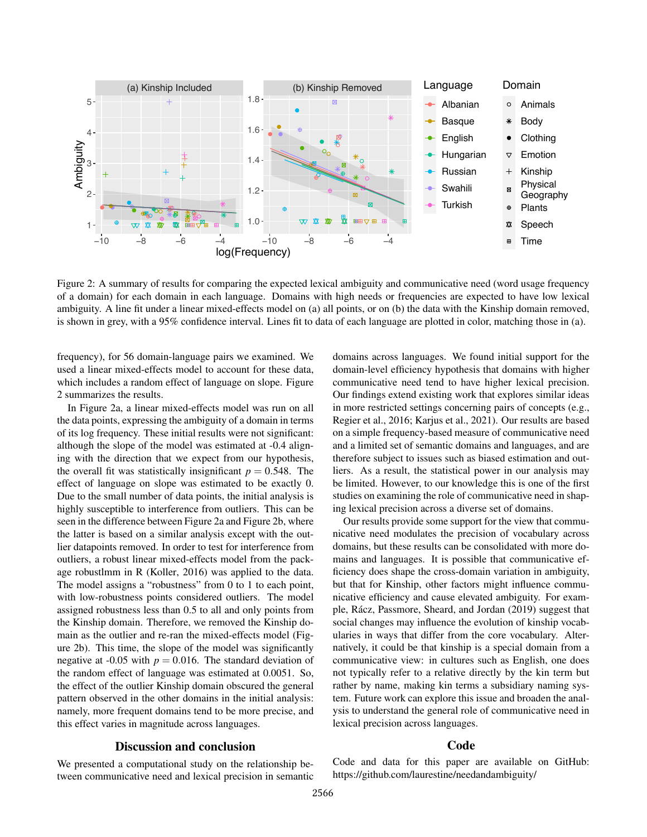<span id="page-5-0"></span>

Figure 2: A summary of results for comparing the expected lexical ambiguity and communicative need (word usage frequency of a domain) for each domain in each language. Domains with high needs or frequencies are expected to have low lexical ambiguity. A line fit under a linear mixed-effects model on (a) all points, or on (b) the data with the Kinship domain removed, is shown in grey, with a 95% confidence interval. Lines fit to data of each language are plotted in color, matching those in (a).

frequency), for 56 domain-language pairs we examined. We used a linear mixed-effects model to account for these data, which includes a random effect of language on slope. Figure [2](#page-5-0) summarizes the results.

In Figure [2a](#page-5-0), a linear mixed-effects model was run on all the data points, expressing the ambiguity of a domain in terms of its log frequency. These initial results were not significant: although the slope of the model was estimated at -0.4 aligning with the direction that we expect from our hypothesis, the overall fit was statistically insignificant  $p = 0.548$ . The effect of language on slope was estimated to be exactly 0. Due to the small number of data points, the initial analysis is highly susceptible to interference from outliers. This can be seen in the difference between Figure [2a](#page-5-0) and Figure [2b](#page-5-0), where the latter is based on a similar analysis except with the outlier datapoints removed. In order to test for interference from outliers, a robust linear mixed-effects model from the package robustlmm in R [\(Koller, 2016\)](#page-6-26) was applied to the data. The model assigns a "robustness" from 0 to 1 to each point, with low-robustness points considered outliers. The model assigned robustness less than 0.5 to all and only points from the Kinship domain. Therefore, we removed the Kinship domain as the outlier and re-ran the mixed-effects model (Figure [2b](#page-5-0)). This time, the slope of the model was significantly negative at -0.05 with  $p = 0.016$ . The standard deviation of the random effect of language was estimated at 0.0051. So, the effect of the outlier Kinship domain obscured the general pattern observed in the other domains in the initial analysis: namely, more frequent domains tend to be more precise, and this effect varies in magnitude across languages.

# Discussion and conclusion

We presented a computational study on the relationship between communicative need and lexical precision in semantic domains across languages. We found initial support for the domain-level efficiency hypothesis that domains with higher communicative need tend to have higher lexical precision. Our findings extend existing work that explores similar ideas in more restricted settings concerning pairs of concepts (e.g., [Regier et al., 2016;](#page-7-1) [Karjus et al., 2021\)](#page-6-2). Our results are based on a simple frequency-based measure of communicative need and a limited set of semantic domains and languages, and are therefore subject to issues such as biased estimation and outliers. As a result, the statistical power in our analysis may be limited. However, to our knowledge this is one of the first studies on examining the role of communicative need in shaping lexical precision across a diverse set of domains.

Our results provide some support for the view that communicative need modulates the precision of vocabulary across domains, but these results can be consolidated with more domains and languages. It is possible that communicative efficiency does shape the cross-domain variation in ambiguity, but that for Kinship, other factors might influence communicative efficiency and cause elevated ambiguity. For exam-ple, Rácz, Passmore, Sheard, and Jordan [\(2019\)](#page-7-13) suggest that social changes may influence the evolution of kinship vocabularies in ways that differ from the core vocabulary. Alternatively, it could be that kinship is a special domain from a communicative view: in cultures such as English, one does not typically refer to a relative directly by the kin term but rather by name, making kin terms a subsidiary naming system. Future work can explore this issue and broaden the analysis to understand the general role of communicative need in lexical precision across languages.

# **Code**

Code and data for this paper are available on GitHub: <https://github.com/laurestine/needandambiguity/>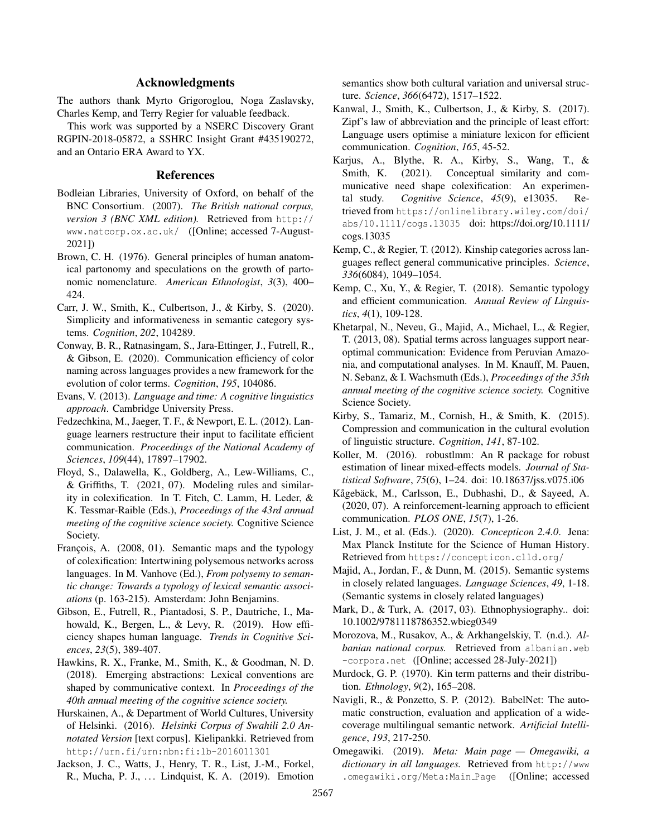# Acknowledgments

The authors thank Myrto Grigoroglou, Noga Zaslavsky, Charles Kemp, and Terry Regier for valuable feedback.

This work was supported by a NSERC Discovery Grant RGPIN-2018-05872, a SSHRC Insight Grant #435190272, and an Ontario ERA Award to YX.

#### References

- <span id="page-6-19"></span>Bodleian Libraries, University of Oxford, on behalf of the BNC Consortium. (2007). *The British national corpus, version 3 (BNC XML edition).* Retrieved from [http://](http://www.natcorp.ox.ac.uk/) [www.natcorp.ox.ac.uk/](http://www.natcorp.ox.ac.uk/) ([Online; accessed 7-August-2021])
- <span id="page-6-21"></span>Brown, C. H. (1976). General principles of human anatomical partonomy and speculations on the growth of partonomic nomenclature. *American Ethnologist*, *3*(3), 400– 424.
- <span id="page-6-12"></span>Carr, J. W., Smith, K., Culbertson, J., & Kirby, S. (2020). Simplicity and informativeness in semantic category systems. *Cognition*, *202*, 104289.
- <span id="page-6-7"></span>Conway, B. R., Ratnasingam, S., Jara-Ettinger, J., Futrell, R., & Gibson, E. (2020). Communication efficiency of color naming across languages provides a new framework for the evolution of color terms. *Cognition*, *195*, 104086.
- <span id="page-6-25"></span>Evans, V. (2013). *Language and time: A cognitive linguistics approach*. Cambridge University Press.
- <span id="page-6-10"></span>Fedzechkina, M., Jaeger, T. F., & Newport, E. L. (2012). Language learners restructure their input to facilitate efficient communication. *Proceedings of the National Academy of Sciences*, *109*(44), 17897–17902.
- <span id="page-6-1"></span>Floyd, S., Dalawella, K., Goldberg, A., Lew-Williams, C., & Griffiths, T. (2021, 07). Modeling rules and similarity in colexification. In T. Fitch, C. Lamm, H. Leder, & K. Tessmar-Raible (Eds.), *Proceedings of the 43rd annual meeting of the cognitive science society.* Cognitive Science Society.
- <span id="page-6-0"></span>François, A. (2008, 01). Semantic maps and the typology of colexification: Intertwining polysemous networks across languages. In M. Vanhove (Ed.), *From polysemy to semantic change: Towards a typology of lexical semantic associations* (p. 163-215). Amsterdam: John Benjamins.
- <span id="page-6-9"></span>Gibson, E., Futrell, R., Piantadosi, S. P., Dautriche, I., Mahowald, K., Bergen, L., & Levy, R. (2019). How efficiency shapes human language. *Trends in Cognitive Sciences*, *23*(5), 389-407.
- <span id="page-6-3"></span>Hawkins, R. X., Franke, M., Smith, K., & Goodman, N. D. (2018). Emerging abstractions: Lexical conventions are shaped by communicative context. In *Proceedings of the 40th annual meeting of the cognitive science society.*
- <span id="page-6-20"></span>Hurskainen, A., & Department of World Cultures, University of Helsinki. (2016). *Helsinki Corpus of Swahili 2.0 Annotated Version* [text corpus]. Kielipankki. Retrieved from <http://urn.fi/urn:nbn:fi:lb-2016011301>
- <span id="page-6-22"></span>Jackson, J. C., Watts, J., Henry, T. R., List, J.-M., Forkel, R., Mucha, P. J., . . . Lindquist, K. A. (2019). Emotion

semantics show both cultural variation and universal structure. *Science*, *366*(6472), 1517–1522.

- <span id="page-6-11"></span>Kanwal, J., Smith, K., Culbertson, J., & Kirby, S. (2017). Zipf's law of abbreviation and the principle of least effort: Language users optimise a miniature lexicon for efficient communication. *Cognition*, *165*, 45-52.
- <span id="page-6-2"></span>Karjus, A., Blythe, R. A., Kirby, S., Wang, T., & Smith, K. (2021). Conceptual similarity and communicative need shape colexification: An experimental study. *Cognitive Science*, *45*(9), e13035. Retrieved from [https://onlinelibrary.wiley.com/doi/](https://onlinelibrary.wiley.com/doi/abs/10.1111/cogs.13035) [abs/10.1111/cogs.13035](https://onlinelibrary.wiley.com/doi/abs/10.1111/cogs.13035) doi: https://doi.org/10.1111/ cogs.13035
- <span id="page-6-4"></span>Kemp, C., & Regier, T. (2012). Kinship categories across languages reflect general communicative principles. *Science*, *336*(6084), 1049–1054.
- <span id="page-6-5"></span>Kemp, C., Xu, Y., & Regier, T. (2018). Semantic typology and efficient communication. *Annual Review of Linguistics*, *4*(1), 109-128.
- <span id="page-6-6"></span>Khetarpal, N., Neveu, G., Majid, A., Michael, L., & Regier, T. (2013, 08). Spatial terms across languages support nearoptimal communication: Evidence from Peruvian Amazonia, and computational analyses. In M. Knauff, M. Pauen, N. Sebanz, & I. Wachsmuth (Eds.), *Proceedings of the 35th annual meeting of the cognitive science society.* Cognitive Science Society.
- <span id="page-6-13"></span>Kirby, S., Tamariz, M., Cornish, H., & Smith, K. (2015). Compression and communication in the cultural evolution of linguistic structure. *Cognition*, *141*, 87-102.
- <span id="page-6-26"></span>Koller, M. (2016). robustlmm: An R package for robust estimation of linear mixed-effects models. *Journal of Statistical Software*, *75*(6), 1–24. doi: 10.18637/jss.v075.i06
- <span id="page-6-8"></span>Kågebäck, M., Carlsson, E., Dubhashi, D., & Sayeed, A. (2020, 07). A reinforcement-learning approach to efficient communication. *PLOS ONE*, *15*(7), 1-26.
- <span id="page-6-14"></span>List, J. M., et al. (Eds.). (2020). *Concepticon 2.4.0*. Jena: Max Planck Institute for the Science of Human History. Retrieved from <https://concepticon.clld.org/>
- <span id="page-6-17"></span>Majid, A., Jordan, F., & Dunn, M. (2015). Semantic systems in closely related languages. *Language Sciences*, *49*, 1-18. (Semantic systems in closely related languages)
- <span id="page-6-24"></span>Mark, D., & Turk, A. (2017, 03). Ethnophysiography.. doi: 10.1002/9781118786352.wbieg0349
- <span id="page-6-18"></span>Morozova, M., Rusakov, A., & Arkhangelskiy, T. (n.d.). *Albanian national corpus.* Retrieved from [albanian.web](albanian.web-corpora.net) [-corpora.net](albanian.web-corpora.net) ([Online; accessed 28-July-2021])
- <span id="page-6-23"></span>Murdock, G. P. (1970). Kin term patterns and their distribution. *Ethnology*, *9*(2), 165–208.
- <span id="page-6-15"></span>Navigli, R., & Ponzetto, S. P. (2012). BabelNet: The automatic construction, evaluation and application of a widecoverage multilingual semantic network. *Artificial Intelligence*, *193*, 217-250.
- <span id="page-6-16"></span>Omegawiki. (2019). *Meta: Main page — Omegawiki, a dictionary in all languages.* Retrieved from [http://www](http://www.omegawiki.org/Meta:Main_Page) [.omegawiki.org/Meta:Main](http://www.omegawiki.org/Meta:Main_Page) Page ([Online; accessed